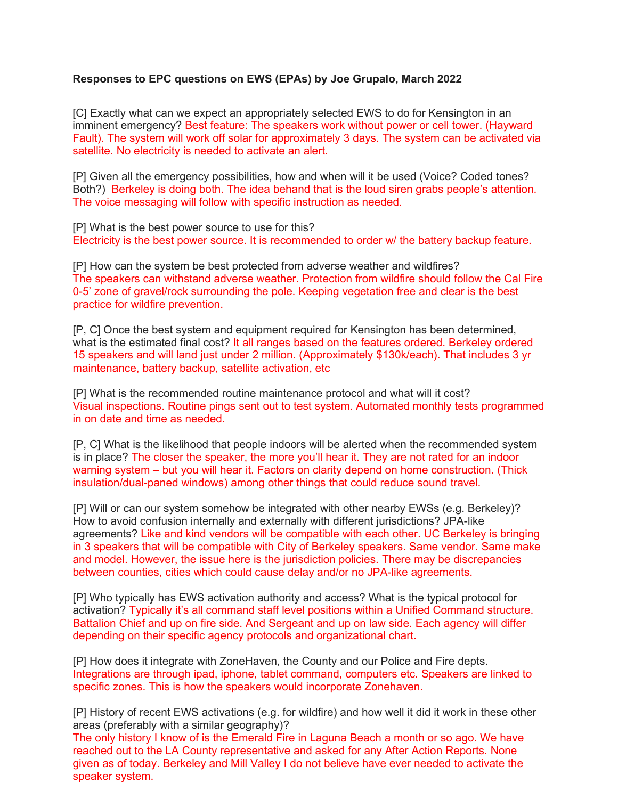## **Responses to EPC questions on EWS (EPAs) by Joe Grupalo, March 2022**

[C] Exactly what can we expect an appropriately selected EWS to do for Kensington in an imminent emergency? Best feature: The speakers work without power or cell tower. (Hayward Fault). The system will work off solar for approximately 3 days. The system can be activated via satellite. No electricity is needed to activate an alert.

[P] Given all the emergency possibilities, how and when will it be used (Voice? Coded tones? Both?) Berkeley is doing both. The idea behand that is the loud siren grabs people's attention. The voice messaging will follow with specific instruction as needed.

[P] What is the best power source to use for this? Electricity is the best power source. It is recommended to order w/ the battery backup feature.

[P] How can the system be best protected from adverse weather and wildfires? The speakers can withstand adverse weather. Protection from wildfire should follow the Cal Fire 0-5' zone of gravel/rock surrounding the pole. Keeping vegetation free and clear is the best practice for wildfire prevention.

[P, C] Once the best system and equipment required for Kensington has been determined, what is the estimated final cost? It all ranges based on the features ordered. Berkeley ordered 15 speakers and will land just under 2 million. (Approximately \$130k/each). That includes 3 yr maintenance, battery backup, satellite activation, etc

[P] What is the recommended routine maintenance protocol and what will it cost? Visual inspections. Routine pings sent out to test system. Automated monthly tests programmed in on date and time as needed.

[P, C] What is the likelihood that people indoors will be alerted when the recommended system is in place? The closer the speaker, the more you'll hear it. They are not rated for an indoor warning system – but you will hear it. Factors on clarity depend on home construction. (Thick insulation/dual-paned windows) among other things that could reduce sound travel.

[P] Will or can our system somehow be integrated with other nearby EWSs (e.g. Berkeley)? How to avoid confusion internally and externally with different jurisdictions? JPA-like agreements? Like and kind vendors will be compatible with each other. UC Berkeley is bringing in 3 speakers that will be compatible with City of Berkeley speakers. Same vendor. Same make and model. However, the issue here is the jurisdiction policies. There may be discrepancies between counties, cities which could cause delay and/or no JPA-like agreements.

[P] Who typically has EWS activation authority and access? What is the typical protocol for activation? Typically it's all command staff level positions within a Unified Command structure. Battalion Chief and up on fire side. And Sergeant and up on law side. Each agency will differ depending on their specific agency protocols and organizational chart.

[P] How does it integrate with ZoneHaven, the County and our Police and Fire depts. Integrations are through ipad, iphone, tablet command, computers etc. Speakers are linked to specific zones. This is how the speakers would incorporate Zonehaven.

[P] History of recent EWS activations (e.g. for wildfire) and how well it did it work in these other areas (preferably with a similar geography)?

The only history I know of is the Emerald Fire in Laguna Beach a month or so ago. We have reached out to the LA County representative and asked for any After Action Reports. None given as of today. Berkeley and Mill Valley I do not believe have ever needed to activate the speaker system.